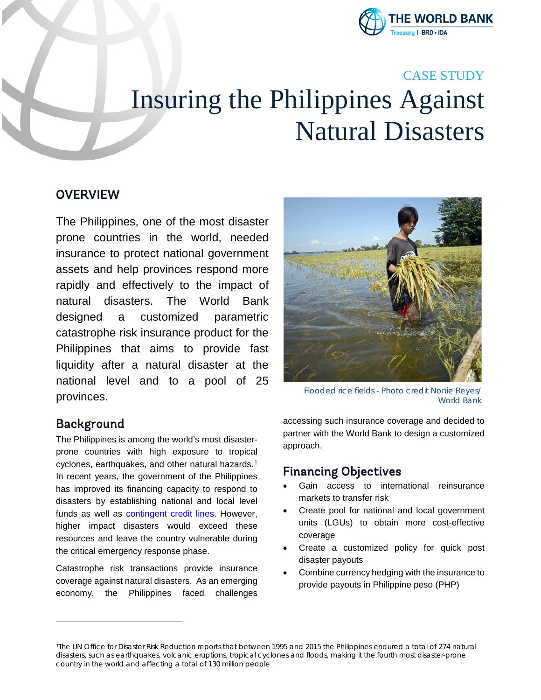

# CASE STUDY Insuring the Philippines Against Natural Disasters

### **OVERVIEW**

The Philippines, one of the most disaster prone countries in the world, needed insurance to protect national government assets and help provinces respond more rapidly and effectively to the impact of natural disasters. The World Bank designed a customized parametric catastrophe risk insurance product for the Philippines that aims to provide fast liquidity after a natural disaster at the national level and to a pool of 25 provinces.

#### Background

<span id="page-0-0"></span>-

The Philippines is among the world's most disasterprone countries with high exposure to tropical cyclones, earthquakes, and other natural hazards.<sup>[1](#page-0-0)</sup> In recent years, the government of the Philippines has improved its financing capacity to respond to disasters by establishing national and local level funds as well as [contingent credit lines.](http://www.worldbank.org/en/news/press-release/2015/12/22/philippines-new-initiative-to-boost-resilience-against-natural-disasters) However, higher impact disasters would exceed these resources and leave the country vulnerable during the critical emergency response phase.

Catastrophe risk transactions provide insurance coverage against natural disasters. As an emerging economy, the Philippines faced challenges



*Flooded rice fields - Photo credit Nonie Reyes/ World Bank*

accessing such insurance coverage and decided to partner with the World Bank to design a customized approach.

## Financing Objectives

- Gain access to international reinsurance markets to transfer risk
- Create pool for national and local government units (LGUs) to obtain more cost-effective coverage
- Create a customized policy for quick post disaster payouts
- Combine currency hedging with the insurance to provide payouts in Philippine peso (PHP)

<sup>1</sup>The UN Office for Disaster Risk Reduction reports that between 1995 and 2015 the Philippines endured a total of 274 natural disasters, such as earthquakes, volcanic eruptions, tropical cyclones and floods, making it the fourth most disaster-prone country in the world and affecting a total of 130 million people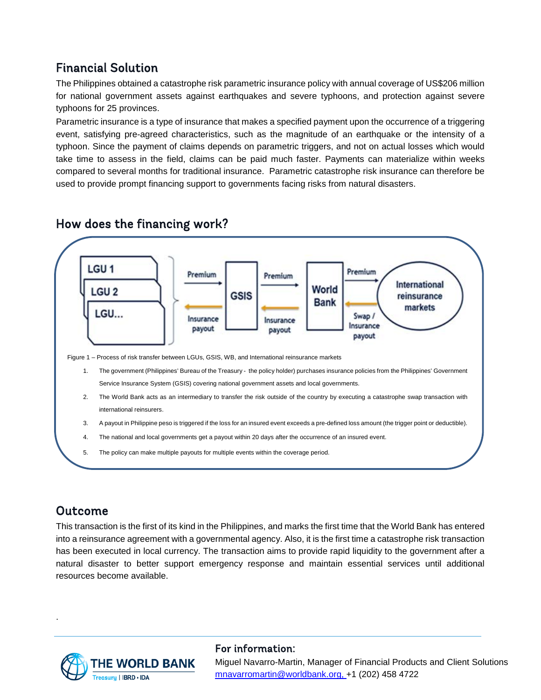## Financial Solution

The Philippines obtained a catastrophe risk parametric insurance policy with annual coverage of US\$206 million for national government assets against earthquakes and severe typhoons, and protection against severe typhoons for 25 provinces.

Parametric insurance is a type of insurance that makes a specified payment upon the occurrence of a triggering event, satisfying pre-agreed characteristics, such as the magnitude of an earthquake or the intensity of a typhoon. Since the payment of claims depends on parametric triggers, and not on actual losses which would take time to assess in the field, claims can be paid much faster. Payments can materialize within weeks compared to several months for traditional insurance. Parametric catastrophe risk insurance can therefore be used to provide prompt financing support to governments facing risks from natural disasters.



## How does the financing work?

## Outcome

.

This transaction is the first of its kind in the Philippines, and marks the first time that the World Bank has entered into a reinsurance agreement with a governmental agency. Also, it is the first time a catastrophe risk transaction has been executed in local currency. The transaction aims to provide rapid liquidity to the government after a natural disaster to better support emergency response and maintain essential services until additional resources become available.



#### For information:

Miguel Navarro-Martin, Manager of Financial Products and Client Solutions [mnavarromartin@worldbank.org,](mailto:mnavarromartin@worldbank.org) +1 (202) 458 4722